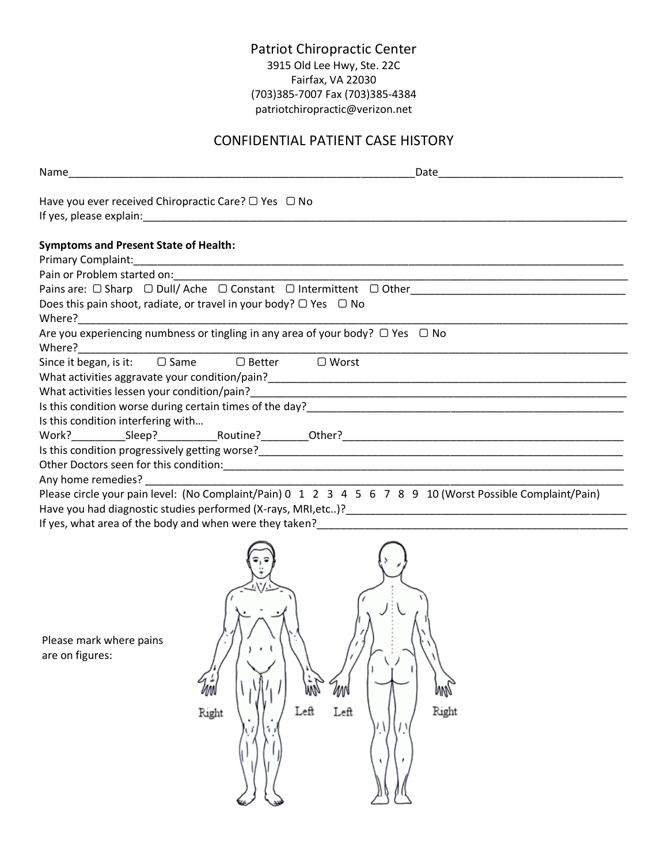## Patriot Chiropractic Center 3915 Old Lee Hwy, Ste. 22C Fairfax, VA 22030 (703)385-7007 Fax (703)385-4384 patriotchiropractic@verizon.net

## CONFIDENTIAL PATIENT CASE HISTORY

| Have you ever received Chiropractic Care? $\Box$ Yes $\Box$ No              |                                                                                                                  |
|-----------------------------------------------------------------------------|------------------------------------------------------------------------------------------------------------------|
|                                                                             |                                                                                                                  |
| <b>Symptoms and Present State of Health:</b>                                |                                                                                                                  |
|                                                                             |                                                                                                                  |
|                                                                             | Pain or Problem started on: 1990 and 200 million and 200 million and 200 million and 200 million and 200 million |
|                                                                             |                                                                                                                  |
| Does this pain shoot, radiate, or travel in your body? $\Box$ Yes $\Box$ No |                                                                                                                  |
|                                                                             | Are you experiencing numbness or tingling in any area of your body? $\Box$ Yes $\Box$ No                         |
| Since it began, is it: □ Same □ Better □ Worst                              |                                                                                                                  |
|                                                                             |                                                                                                                  |
|                                                                             |                                                                                                                  |
|                                                                             |                                                                                                                  |
| Is this condition interfering with                                          |                                                                                                                  |
|                                                                             |                                                                                                                  |
|                                                                             |                                                                                                                  |
|                                                                             |                                                                                                                  |
| Any home remedies? Any home remedies?                                       |                                                                                                                  |
|                                                                             | Please circle your pain level: (No Complaint/Pain) 0 1 2 3 4 5 6 7 8 9 10 (Worst Possible Complaint/Pain)        |
|                                                                             |                                                                                                                  |
|                                                                             | If yes, what area of the body and when were they taken?                                                          |
| Please mark where pains<br>are on figures:                                  | Rıght                                                                                                            |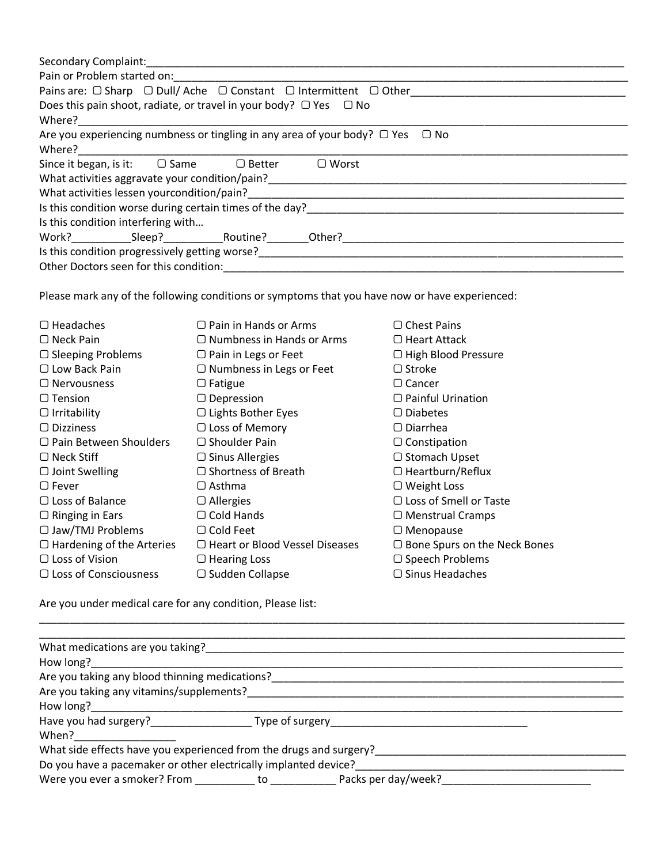| <b>Secondary Complaint:</b><br>Pain or Problem started on:                                  |  |  |  |  |
|---------------------------------------------------------------------------------------------|--|--|--|--|
| Pains are: $\Box$ Sharp $\Box$ Dull/ Ache $\Box$ Constant $\Box$ Intermittent $\Box$ Other  |  |  |  |  |
| Does this pain shoot, radiate, or travel in your body? $\Box$ Yes $\Box$ No                 |  |  |  |  |
| Where?                                                                                      |  |  |  |  |
| Are you experiencing numbness or tingling in any area of your body? $\Box$ Yes<br>$\Box$ No |  |  |  |  |
| Where?                                                                                      |  |  |  |  |
| Since it began, is it: $\Box$ Same $\Box$ Better<br>$\Box$ Worst                            |  |  |  |  |
| What activities aggravate your condition/pain?                                              |  |  |  |  |
| What activities lessen yourcondition/pain?                                                  |  |  |  |  |
| Is this condition worse during certain times of the day?                                    |  |  |  |  |
| Is this condition interfering with                                                          |  |  |  |  |
|                                                                                             |  |  |  |  |
| Is this condition progressively getting worse?                                              |  |  |  |  |
| Other Doctors seen for this condition:                                                      |  |  |  |  |

Please mark any of the following conditions or symptoms that you have now or have experienced:

| $\Box$ Headaches                 | $\Box$ Pain in Hands or Arms          | $\Box$ Chest Pains                  |
|----------------------------------|---------------------------------------|-------------------------------------|
| $\Box$ Neck Pain                 | $\Box$ Numbness in Hands or Arms      | $\Box$ Heart Attack                 |
| $\Box$ Sleeping Problems         | $\Box$ Pain in Legs or Feet           | $\Box$ High Blood Pressure          |
| $\Box$ Low Back Pain             | $\Box$ Numbness in Legs or Feet       | $\Box$ Stroke                       |
| $\Box$ Nervousness               | $\Box$ Fatigue                        | $\Box$ Cancer                       |
| $\Box$ Tension                   | $\Box$ Depression                     | $\Box$ Painful Urination            |
| $\Box$ Irritability              | □ Lights Bother Eyes                  | $\Box$ Diabetes                     |
| $\Box$ Dizziness                 | $\Box$ Loss of Memory                 | $\Box$ Diarrhea                     |
| $\Box$ Pain Between Shoulders    | $\Box$ Shoulder Pain                  | $\Box$ Constipation                 |
| $\Box$ Neck Stiff                | $\Box$ Sinus Allergies                | □ Stomach Upset                     |
| $\Box$ Joint Swelling            | $\Box$ Shortness of Breath            | $\Box$ Heartburn/Reflux             |
| $\Box$ Fever                     | $\Box$ Asthma                         | $\Box$ Weight Loss                  |
| $\Box$ Loss of Balance           | $\Box$ Allergies                      | $\Box$ Loss of Smell or Taste       |
| $\Box$ Ringing in Ears           | $\Box$ Cold Hands                     | $\Box$ Menstrual Cramps             |
| $\Box$ Jaw/TMJ Problems          | $\Box$ Cold Feet                      | $\Box$ Menopause                    |
| $\Box$ Hardening of the Arteries | $\Box$ Heart or Blood Vessel Diseases | $\Box$ Bone Spurs on the Neck Bones |
| $\Box$ Loss of Vision            | $\Box$ Hearing Loss                   | $\Box$ Speech Problems              |
| $\Box$ Loss of Consciousness     | $\Box$ Sudden Collapse                | $\Box$ Sinus Headaches              |

Are you under medical care for any condition, Please list:

| What medications are you taking?                                   |  |  |
|--------------------------------------------------------------------|--|--|
| How long?                                                          |  |  |
| Are you taking any blood thinning medications?                     |  |  |
| Are you taking any vitamins/supplements?                           |  |  |
| How long?                                                          |  |  |
|                                                                    |  |  |
| When?                                                              |  |  |
| What side effects have you experienced from the drugs and surgery? |  |  |
| Do you have a pacemaker or other electrically implanted device?    |  |  |
|                                                                    |  |  |

\_\_\_\_\_\_\_\_\_\_\_\_\_\_\_\_\_\_\_\_\_\_\_\_\_\_\_\_\_\_\_\_\_\_\_\_\_\_\_\_\_\_\_\_\_\_\_\_\_\_\_\_\_\_\_\_\_\_\_\_\_\_\_\_\_\_\_\_\_\_\_\_\_\_\_\_\_\_\_\_\_\_\_\_\_\_\_\_\_\_\_\_\_\_\_\_\_\_